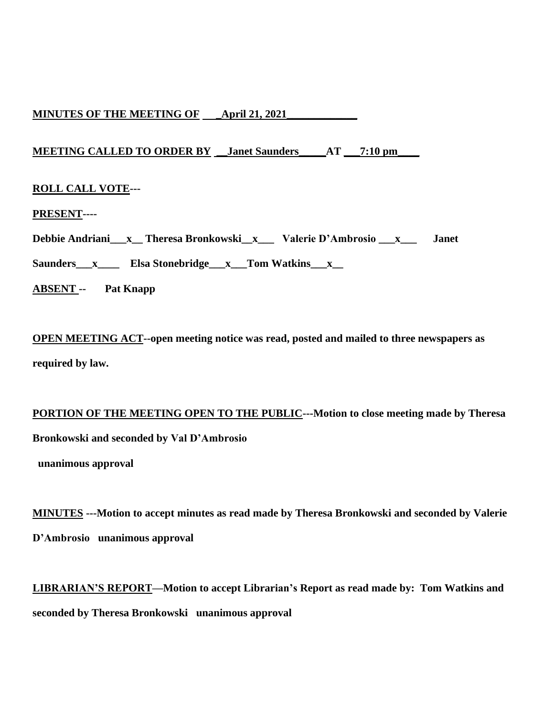# **MINUTES OF THE MEETING OF \_April 21, 2021\_\_\_\_\_\_\_\_\_\_\_\_\_**

# **MEETING CALLED TO ORDER BY \_\_Janet Saunders\_\_\_\_\_AT \_\_\_7:10 pm\_\_\_\_**

# **ROLL CALL VOTE---**

**PRESENT----**

**Debbie Andriani\_\_\_x\_\_ Theresa Bronkowski\_\_x\_\_\_ Valerie D'Ambrosio \_\_\_x\_\_\_ Janet** 

Saunders\_\_\_<sub>x\_\_\_\_</sub>\_\_\_\_ **Elsa Stonebridge\_\_\_x\_\_\_Tom Watkins\_\_\_x\_\_** 

**ABSENT -- Pat Knapp**

**OPEN MEETING ACT--open meeting notice was read, posted and mailed to three newspapers as required by law.**

# **PORTION OF THE MEETING OPEN TO THE PUBLIC---Motion to close meeting made by Theresa Bronkowski and seconded by Val D'Ambrosio**

 **unanimous approval**

**MINUTES ---Motion to accept minutes as read made by Theresa Bronkowski and seconded by Valerie D'Ambrosio unanimous approval**

**LIBRARIAN'S REPORT—Motion to accept Librarian's Report as read made by: Tom Watkins and seconded by Theresa Bronkowski unanimous approval**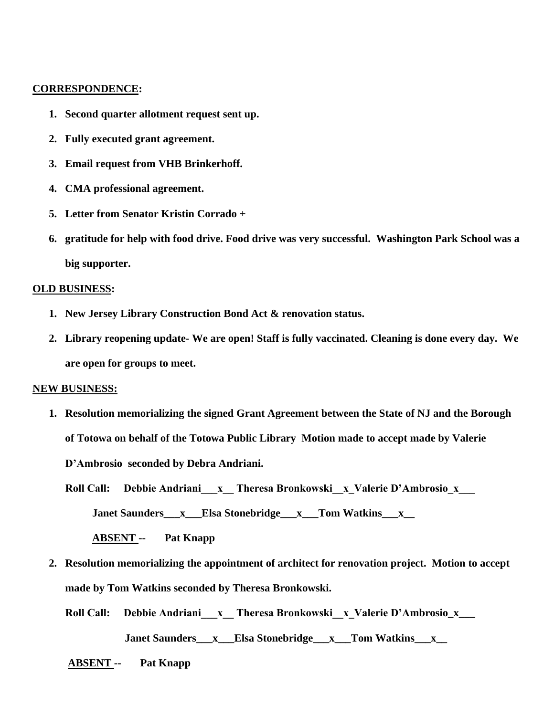### **CORRESPONDENCE:**

- **1. Second quarter allotment request sent up.**
- **2. Fully executed grant agreement.**
- **3. Email request from VHB Brinkerhoff.**
- **4. CMA professional agreement.**
- **5. Letter from Senator Kristin Corrado +**
- **6. gratitude for help with food drive. Food drive was very successful. Washington Park School was a big supporter.**

#### **OLD BUSINESS:**

- **1. New Jersey Library Construction Bond Act & renovation status.**
- **2. Library reopening update- We are open! Staff is fully vaccinated. Cleaning is done every day. We are open for groups to meet.**

#### **NEW BUSINESS:**

**1. Resolution memorializing the signed Grant Agreement between the State of NJ and the Borough of Totowa on behalf of the Totowa Public Library Motion made to accept made by Valerie D'Ambrosio seconded by Debra Andriani.**

Roll Call: Debbie Andriani x Theresa Bronkowski x Valerie D'Ambrosio x

 **Janet Saunders** x Elsa Stonebridge x Tom Watkins x

 **ABSENT -- Pat Knapp**

- **2. Resolution memorializing the appointment of architect for renovation project. Motion to accept made by Tom Watkins seconded by Theresa Bronkowski.**
	- Roll Call: Debbie Andriani x Theresa Bronkowski x Valerie D'Ambrosio\_x\_\_\_

 **Janet Saunders\_\_\_x\_\_\_Elsa Stonebridge\_\_\_x\_\_\_Tom Watkins\_\_\_x\_\_**

 **ABSENT -- Pat Knapp**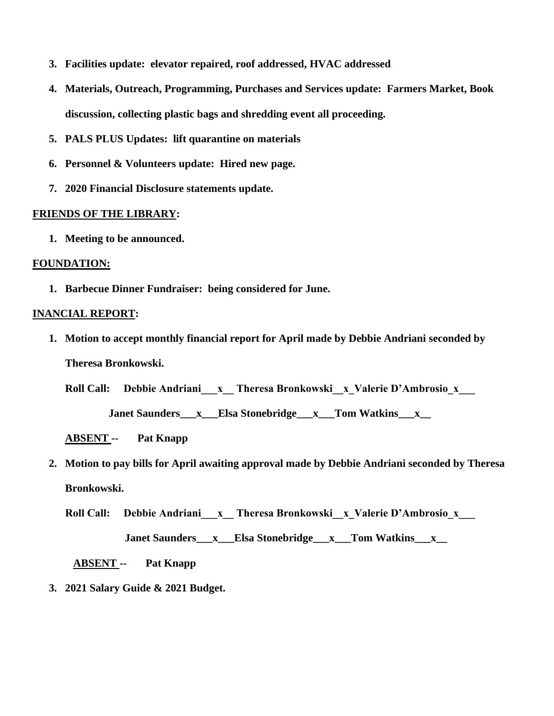- **3. Facilities update: elevator repaired, roof addressed, HVAC addressed**
- **4. Materials, Outreach, Programming, Purchases and Services update: Farmers Market, Book discussion, collecting plastic bags and shredding event all proceeding.**
- **5. PALS PLUS Updates: lift quarantine on materials**
- **6. Personnel & Volunteers update: Hired new page.**
- **7. 2020 Financial Disclosure statements update.**

## **FRIENDS OF THE LIBRARY:**

**1. Meeting to be announced.**

## **FOUNDATION:**

**1. Barbecue Dinner Fundraiser: being considered for June.**

# **INANCIAL REPORT:**

**1. Motion to accept monthly financial report for April made by Debbie Andriani seconded by Theresa Bronkowski.**

Roll Call: Debbie Andriani x Theresa Bronkowski x Valerie D'Ambrosio x

 **Janet Saunders\_\_\_x\_\_\_Elsa Stonebridge\_\_\_x\_\_\_Tom Watkins\_\_\_x\_\_**

 **ABSENT -- Pat Knapp**

**2. Motion to pay bills for April awaiting approval made by Debbie Andriani seconded by Theresa Bronkowski.** 

Roll Call: Debbie Andriani x Theresa Bronkowski x Valerie D'Ambrosio x

 **Janet Saunders\_\_\_x\_\_\_Elsa Stonebridge\_\_\_x\_\_\_Tom Watkins\_\_\_x\_\_**

 **ABSENT -- Pat Knapp**

**3. 2021 Salary Guide & 2021 Budget.**